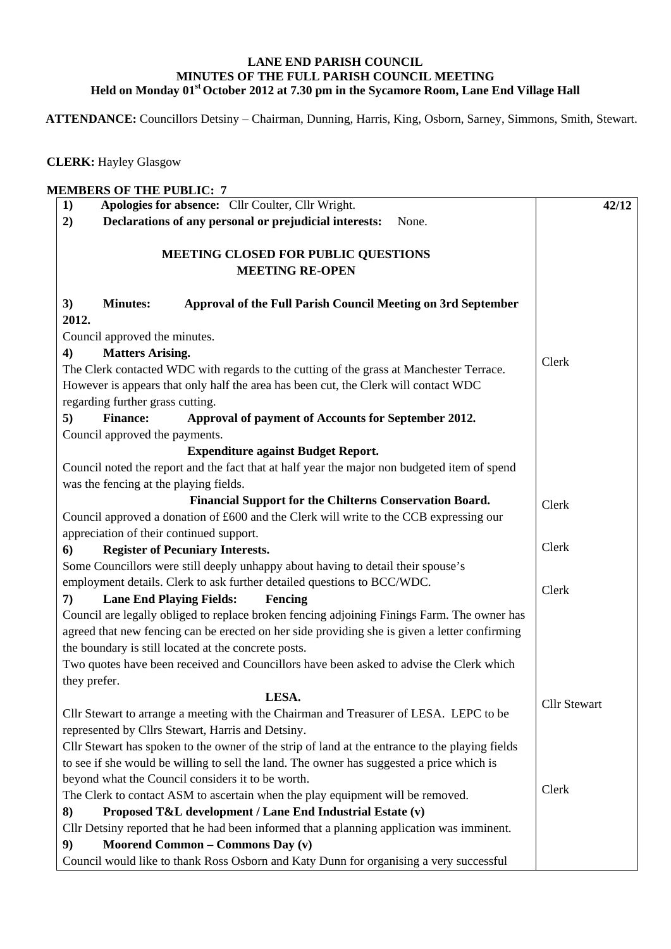## **LANE END PARISH COUNCIL MINUTES OF THE FULL PARISH COUNCIL MEETING Held on Monday 01st October 2012 at 7.30 pm in the Sycamore Room, Lane End Village Hall**

 **ATTENDANCE:** Councillors Detsiny – Chairman, Dunning, Harris, King, Osborn, Sarney, Simmons, Smith, Stewart.

 **CLERK:** Hayley Glasgow

| 1)                                                                                              |                                                                                              | Apologies for absence: Cllr Coulter, Cllr Wright.                                                                                               | 42/12               |  |  |
|-------------------------------------------------------------------------------------------------|----------------------------------------------------------------------------------------------|-------------------------------------------------------------------------------------------------------------------------------------------------|---------------------|--|--|
| 2)                                                                                              |                                                                                              | Declarations of any personal or prejudicial interests:<br>None.                                                                                 |                     |  |  |
|                                                                                                 |                                                                                              | MEETING CLOSED FOR PUBLIC QUESTIONS                                                                                                             |                     |  |  |
|                                                                                                 | <b>MEETING RE-OPEN</b>                                                                       |                                                                                                                                                 |                     |  |  |
| 3)<br>2012.                                                                                     | <b>Minutes:</b>                                                                              | Approval of the Full Parish Council Meeting on 3rd September                                                                                    |                     |  |  |
|                                                                                                 | Council approved the minutes.                                                                |                                                                                                                                                 |                     |  |  |
| 4)                                                                                              | <b>Matters Arising.</b>                                                                      |                                                                                                                                                 |                     |  |  |
|                                                                                                 | The Clerk contacted WDC with regards to the cutting of the grass at Manchester Terrace.      |                                                                                                                                                 |                     |  |  |
|                                                                                                 |                                                                                              | However is appears that only half the area has been cut, the Clerk will contact WDC                                                             |                     |  |  |
|                                                                                                 | regarding further grass cutting.                                                             |                                                                                                                                                 |                     |  |  |
| 5)                                                                                              | <b>Finance:</b>                                                                              | Approval of payment of Accounts for September 2012.                                                                                             |                     |  |  |
|                                                                                                 | Council approved the payments.                                                               |                                                                                                                                                 |                     |  |  |
|                                                                                                 |                                                                                              | <b>Expenditure against Budget Report.</b>                                                                                                       |                     |  |  |
|                                                                                                 | Council noted the report and the fact that at half year the major non budgeted item of spend |                                                                                                                                                 |                     |  |  |
|                                                                                                 |                                                                                              | was the fencing at the playing fields.                                                                                                          |                     |  |  |
|                                                                                                 | Financial Support for the Chilterns Conservation Board.                                      |                                                                                                                                                 |                     |  |  |
|                                                                                                 |                                                                                              | Council approved a donation of £600 and the Clerk will write to the CCB expressing our                                                          |                     |  |  |
| appreciation of their continued support.                                                        |                                                                                              |                                                                                                                                                 |                     |  |  |
| <b>Register of Pecuniary Interests.</b><br>6)                                                   | Clerk                                                                                        |                                                                                                                                                 |                     |  |  |
|                                                                                                 |                                                                                              | Some Councillors were still deeply unhappy about having to detail their spouse's                                                                |                     |  |  |
| employment details. Clerk to ask further detailed questions to BCC/WDC.                         | Clerk                                                                                        |                                                                                                                                                 |                     |  |  |
| 7)                                                                                              |                                                                                              | <b>Lane End Playing Fields:</b><br>Fencing                                                                                                      |                     |  |  |
| Council are legally obliged to replace broken fencing adjoining Finings Farm. The owner has     |                                                                                              |                                                                                                                                                 |                     |  |  |
| agreed that new fencing can be erected on her side providing she is given a letter confirming   |                                                                                              |                                                                                                                                                 |                     |  |  |
|                                                                                                 |                                                                                              | the boundary is still located at the concrete posts.<br>Two quotes have been received and Councillors have been asked to advise the Clerk which |                     |  |  |
| they prefer.                                                                                    |                                                                                              |                                                                                                                                                 |                     |  |  |
|                                                                                                 |                                                                                              | LESA.                                                                                                                                           |                     |  |  |
|                                                                                                 |                                                                                              | Cllr Stewart to arrange a meeting with the Chairman and Treasurer of LESA. LEPC to be                                                           | <b>Cllr Stewart</b> |  |  |
| represented by Cllrs Stewart, Harris and Detsiny.                                               |                                                                                              |                                                                                                                                                 |                     |  |  |
| Cllr Stewart has spoken to the owner of the strip of land at the entrance to the playing fields |                                                                                              |                                                                                                                                                 |                     |  |  |
| to see if she would be willing to sell the land. The owner has suggested a price which is       |                                                                                              |                                                                                                                                                 |                     |  |  |
| beyond what the Council considers it to be worth.                                               |                                                                                              |                                                                                                                                                 |                     |  |  |
| The Clerk to contact ASM to ascertain when the play equipment will be removed.                  | Clerk                                                                                        |                                                                                                                                                 |                     |  |  |
| Proposed T&L development / Lane End Industrial Estate (v)<br>8)                                 |                                                                                              |                                                                                                                                                 |                     |  |  |
| Cllr Detsiny reported that he had been informed that a planning application was imminent.       |                                                                                              |                                                                                                                                                 |                     |  |  |
| 9)                                                                                              |                                                                                              | Moorend Common - Commons Day (v)                                                                                                                |                     |  |  |
|                                                                                                 |                                                                                              | Council would like to thank Ross Osborn and Katy Dunn for organising a very successful                                                          |                     |  |  |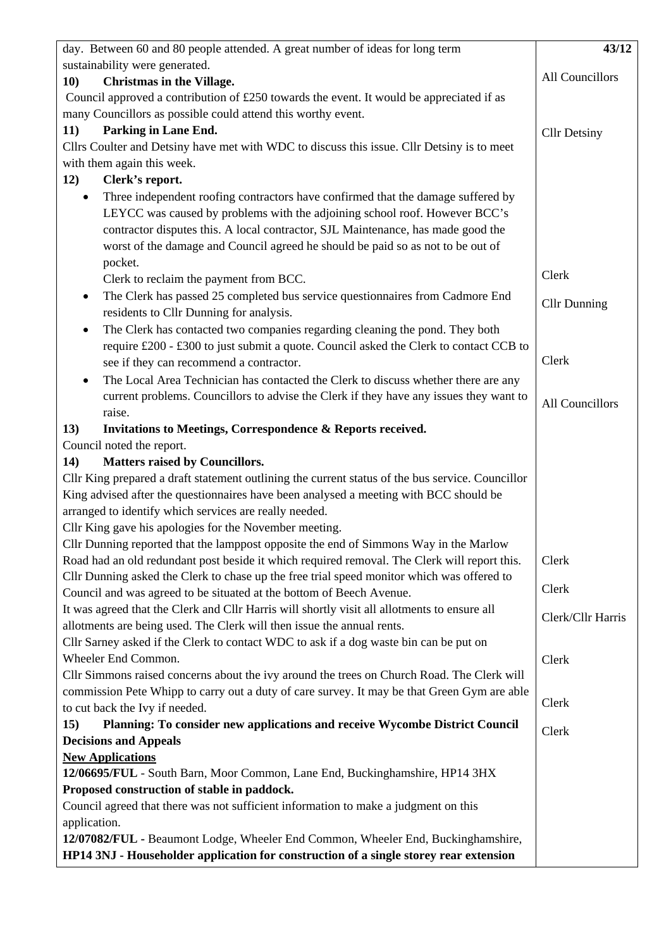| day. Between 60 and 80 people attended. A great number of ideas for long term                                                                                                                                                                                                                                                                         | 43/12               |
|-------------------------------------------------------------------------------------------------------------------------------------------------------------------------------------------------------------------------------------------------------------------------------------------------------------------------------------------------------|---------------------|
| sustainability were generated.                                                                                                                                                                                                                                                                                                                        |                     |
| <b>Christmas in the Village.</b><br>10)                                                                                                                                                                                                                                                                                                               | All Councillors     |
| Council approved a contribution of £250 towards the event. It would be appreciated if as                                                                                                                                                                                                                                                              |                     |
| many Councillors as possible could attend this worthy event.                                                                                                                                                                                                                                                                                          |                     |
| Parking in Lane End.<br>11)                                                                                                                                                                                                                                                                                                                           | <b>Cllr Detsiny</b> |
| Cllrs Coulter and Detsiny have met with WDC to discuss this issue. Cllr Detsiny is to meet                                                                                                                                                                                                                                                            |                     |
| with them again this week.                                                                                                                                                                                                                                                                                                                            |                     |
| 12)<br>Clerk's report.                                                                                                                                                                                                                                                                                                                                |                     |
| Three independent roofing contractors have confirmed that the damage suffered by<br>٠<br>LEYCC was caused by problems with the adjoining school roof. However BCC's<br>contractor disputes this. A local contractor, SJL Maintenance, has made good the<br>worst of the damage and Council agreed he should be paid so as not to be out of<br>pocket. |                     |
| Clerk to reclaim the payment from BCC.                                                                                                                                                                                                                                                                                                                | Clerk               |
| The Clerk has passed 25 completed bus service questionnaires from Cadmore End<br>٠                                                                                                                                                                                                                                                                    |                     |
| residents to Cllr Dunning for analysis.                                                                                                                                                                                                                                                                                                               | <b>Cllr Dunning</b> |
| The Clerk has contacted two companies regarding cleaning the pond. They both<br>٠                                                                                                                                                                                                                                                                     |                     |
| require £200 - £300 to just submit a quote. Council asked the Clerk to contact CCB to                                                                                                                                                                                                                                                                 |                     |
| see if they can recommend a contractor.                                                                                                                                                                                                                                                                                                               | Clerk               |
| The Local Area Technician has contacted the Clerk to discuss whether there are any<br>$\bullet$                                                                                                                                                                                                                                                       |                     |
| current problems. Councillors to advise the Clerk if they have any issues they want to<br>raise.                                                                                                                                                                                                                                                      | All Councillors     |
| Invitations to Meetings, Correspondence & Reports received.<br>13)                                                                                                                                                                                                                                                                                    |                     |
| Council noted the report.                                                                                                                                                                                                                                                                                                                             |                     |
| <b>Matters raised by Councillors.</b><br>14)                                                                                                                                                                                                                                                                                                          |                     |
| Cllr King prepared a draft statement outlining the current status of the bus service. Councillor                                                                                                                                                                                                                                                      |                     |
| King advised after the questionnaires have been analysed a meeting with BCC should be                                                                                                                                                                                                                                                                 |                     |
| arranged to identify which services are really needed.                                                                                                                                                                                                                                                                                                |                     |
| Cllr King gave his apologies for the November meeting.                                                                                                                                                                                                                                                                                                |                     |
| Cllr Dunning reported that the lamppost opposite the end of Simmons Way in the Marlow                                                                                                                                                                                                                                                                 |                     |
| Road had an old redundant post beside it which required removal. The Clerk will report this.                                                                                                                                                                                                                                                          | Clerk               |
| Cllr Dunning asked the Clerk to chase up the free trial speed monitor which was offered to                                                                                                                                                                                                                                                            |                     |
| Council and was agreed to be situated at the bottom of Beech Avenue.                                                                                                                                                                                                                                                                                  | Clerk               |
| It was agreed that the Clerk and Cllr Harris will shortly visit all allotments to ensure all                                                                                                                                                                                                                                                          | Clerk/Cllr Harris   |
| allotments are being used. The Clerk will then issue the annual rents.                                                                                                                                                                                                                                                                                |                     |
| Cllr Sarney asked if the Clerk to contact WDC to ask if a dog waste bin can be put on                                                                                                                                                                                                                                                                 |                     |
| Wheeler End Common.                                                                                                                                                                                                                                                                                                                                   | Clerk               |
| Cllr Simmons raised concerns about the ivy around the trees on Church Road. The Clerk will                                                                                                                                                                                                                                                            |                     |
| commission Pete Whipp to carry out a duty of care survey. It may be that Green Gym are able                                                                                                                                                                                                                                                           | Clerk               |
| to cut back the Ivy if needed.                                                                                                                                                                                                                                                                                                                        |                     |
| Planning: To consider new applications and receive Wycombe District Council<br>15)                                                                                                                                                                                                                                                                    | Clerk               |
| <b>Decisions and Appeals</b>                                                                                                                                                                                                                                                                                                                          |                     |
| <b>New Applications</b>                                                                                                                                                                                                                                                                                                                               |                     |
| 12/06695/FUL - South Barn, Moor Common, Lane End, Buckinghamshire, HP14 3HX<br>Proposed construction of stable in paddock.                                                                                                                                                                                                                            |                     |
| Council agreed that there was not sufficient information to make a judgment on this                                                                                                                                                                                                                                                                   |                     |
| application.                                                                                                                                                                                                                                                                                                                                          |                     |
| 12/07082/FUL - Beaumont Lodge, Wheeler End Common, Wheeler End, Buckinghamshire,                                                                                                                                                                                                                                                                      |                     |
| HP14 3NJ - Householder application for construction of a single storey rear extension                                                                                                                                                                                                                                                                 |                     |